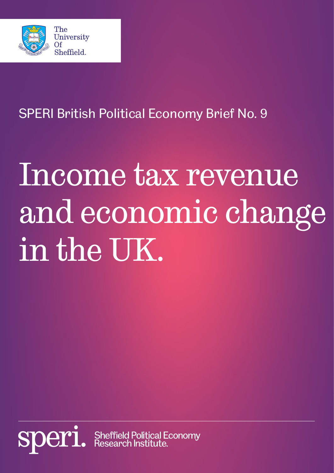

SPERI British Political Economy Brief No. 9

# Income tax revenue and economic change in the UK.

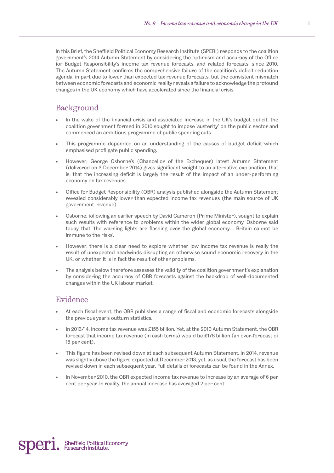In this Brief, the Sheffield Political Economy Research Institute (SPERI) responds to the coalition government's 2014 Autumn Statement by considering the optimism and accuracy of the Office for Budget Responsibility's income tax revenue forecasts, and related forecasts, since 2010. The Autumn Statement confirms the comprehensive failure of the coalition's deficit reduction agenda, in part due to lower than expected tax revenue forecasts, but the consistent mismatch between economic forecasts and economic reality reveals a failure to acknowledge the profound changes in the UK economy which have accelerated since the financial crisis.

# Background

- In the wake of the financial crisis and associated increase in the UK's budget deficit, the coalition government formed in 2010 sought to impose 'austerity' on the public sector and commenced an ambitious programme of public spending cuts.
- This programme depended on an understanding of the causes of budget deficit which emphasised profligate public spending.
- However, George Osborne's (Chancellor of the Exchequer) latest Autumn Statement (delivered on 3 December 2014) gives significant weight to an alternative explanation, that is, that the increasing deficit is largely the result of the impact of an under-performing economy on tax revenues.
- Office for Budget Responsibility (OBR) analysis published alongside the Autumn Statement revealed considerably lower than expected income tax revenues (the main source of UK government revenue).
- Osborne, following an earlier speech by David Cameron (Prime Minister), sought to explain such results with reference to problems within the wider global economy. Osborne said today that 'the warning lights are flashing over the global economy… Britain cannot be immune to the risks'.
- However, there is a clear need to explore whether low income tax revenue is really the result of unexpected headwinds disrupting an otherwise sound economic recovery in the UK, or whether it is in fact the result of other problems.
- The analysis below therefore assesses the validity of the coalition government's explanation by considering the accuracy of OBR forecasts against the backdrop of well-documented changes within the UK labour market.

## Evidence

- At each fiscal event, the OBR publishes a range of fiscal and economic forecasts alongside the previous year's outturn statistics.
- In 2013/14, income tax revenue was £155 billion. Yet, at the 2010 Autumn Statement, the OBR forecast that income tax revenue (in cash terms) would be £178 billion (an over-forecast of 15 per cent).
- This figure has been revised down at each subsequent Autumn Statement. In 2014, revenue was slightly above the figure expected at December 2013, yet, as usual, the forecast has been revised down in each subsequent year. Full details of forecasts can be found in the Annex.
- In November 2010, the OBR expected income tax revenue to increase by an average of 6 per cent per year. In reality, the annual increase has averaged 2 per cent.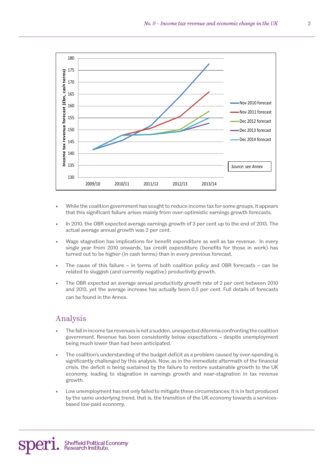

- While the coalition government has sought to reduce income tax for some groups, it appears that this significant failure arises mainly from over-optimistic earnings growth forecasts.
- In 2010, the OBR expected average earnings growth of 3 per cent up to the end of 2013. The actual average annual growth was 2 per cent.
- Wage stagnation has implications for benefit expenditure as well as tax revenue. In every single year from 2010 onwards, tax credit expenditure (benefits for those in work) has turned out to be higher (in cash terms) than in every previous forecast.
- The cause of this failure in terms of both coalition policy and OBR forecasts can be related to sluggish (and currently negative) productivity growth.
- The OBR expected an average annual productivity growth rate of 2 per cent between 2010 and 2013, yet the average increase has actually been 0.5 per cent. Full details of forecasts can be found in the Annex.

## Analysis

- The fall in income tax revenues is not a sudden, unexpected dilemma confronting the coalition government. Revenue has been consistently below expectations – despite unemployment being much lower than had been anticipated.
- The coalition's understanding of the budget deficit as a problem caused by over-spending is significantly challenged by this analysis. Now, as in the immediate aftermath of the financial crisis, the deficit is being sustained by the failure to restore sustainable growth to the UK economy, leading to stagnation in earnings growth and near-stagnation in tax revenue growth.
- Low unemployment has not only failed to mitigate these circumstances; it is in fact produced by the same underlying trend, that is, the transition of the UK economy towards a servicesbased low-paid economy.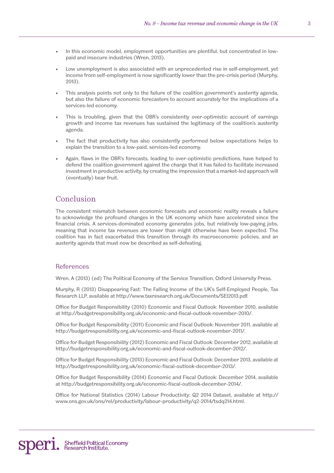- In this economic model, employment opportunities are plentiful, but concentrated in lowpaid and insecure industries (Wren, 2013).
- Low unemployment is also associated with an unprecedented rise in self-employment, yet income from self-employment is now significantly lower than the pre-crisis period (Murphy, 2013).
- This analysis points not only to the failure of the coalition government's austerity agenda, but also the failure of economic forecasters to account accurately for the implications of a services-led economy.
- This is troubling, given that the OBR's consistently over-optimistic account of earnings growth and income tax revenues has sustained the legitimacy of the coalition's austerity agenda.
- The fact that productivity has also consistently performed below expectations helps to explain the transition to a low-paid, services-led economy.
- Again, flaws in the OBR's forecasts, leading to over-optimistic predictions, have helped to defend the coalition government against the charge that it has failed to facilitate increased investment in productive activity, by creating the impression that a market-led approach will (eventually) bear fruit.

### Conclusion

The consistent mismatch between economic forecasts and economic reality reveals a failure to acknowledge the profound changes in the UK economy which have accelerated since the financial crisis. A services-dominated economy generates jobs, but relatively low-paying jobs, meaning that income tax revenues are lower than might otherwise have been expected. The coalition has in fact exacerbated this transition through its macroeconomic policies, and an austerity agenda that must now be described as self-defeating.

#### **References**

Wren, A (2013) (ed) The Political Economy of the Service Transition, Oxford University Press.

Murphy, R (2013) Disappearing Fast: The Falling Income of the UK's Self-Employed People, Tax Research LLP, available at http://www.taxresearch.org.uk/Documents/SEI2013.pdf.

Office for Budget Responsibility (2010) Economic and Fiscal Outlook: November 2010, available at http://budgetresponsibility.org.uk/economic-and-fiscal-outlook-november-2010/.

Office for Budget Responsibility (2011) Economic and Fiscal Outlook: November 2011, available at http://budgetresponsibility.org.uk/economic-and-fiscal-outlook-november-2011/.

Office for Budget Responsibility (2012) Economic and Fiscal Outlook: December 2012, available at http://budgetresponsibility.org.uk/economic-and-fiscal-outlook-december-2012/.

Office for Budget Responsibility (2013) Economic and Fiscal Outlook: December 2013, available at http://budgetresponsibility.org.uk/economic-fiscal-outlook-december-2013/.

Office for Budget Responsibility (2014) Economic and Fiscal Outlook: December 2014, available at http://budgetresponsibility.org.uk/economic-fiscal-outlook-december-2014/.

Office for National Statistics (2014) Labour Productivity: Q2 2014 Dataset, available at http:// www.ons.gov.uk/ons/rel/productivity/labour-productivity/q2-2014/tsdq214.html.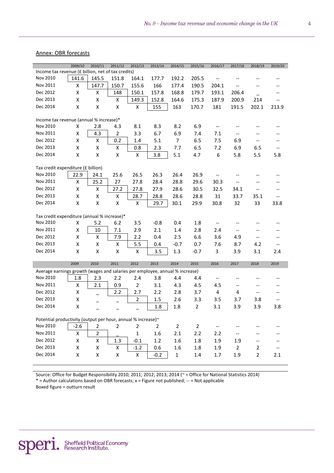#### Annex: OBR forecasts

|                                                                              | 2009/10            | 2010/11            | 2011/12        | 2012/13            | 2013/14 | 2014/15        | 2015/16        | 2016/17                                             | 2017/18                  | 2018/19                               | 2019/20                  |
|------------------------------------------------------------------------------|--------------------|--------------------|----------------|--------------------|---------|----------------|----------------|-----------------------------------------------------|--------------------------|---------------------------------------|--------------------------|
| Income tax revenue (£ billion, net of tax credits)                           |                    |                    |                |                    |         |                |                |                                                     |                          |                                       |                          |
| Nov 2010                                                                     | 141.6              | 145.5              | 151.8          | 164.1              | 177.7   | 192.2          | 205.5          | $\hspace{0.05cm} -\hspace{0.05cm} -\hspace{0.05cm}$ | --                       | $-$                                   | $-$                      |
| Nov 2011                                                                     | Χ                  | 147.7              | 150.7          | 155.6              | 166     | 177.4          | 190.5          | 204.1                                               |                          |                                       |                          |
| Dec 2012                                                                     | X                  | X                  | 148            | 150.1              | 157.8   | 168.8          | 179.7          | 193.1                                               | 206.4                    |                                       |                          |
| Dec 2013                                                                     | X                  | X                  | X              | 149.3              | 152.8   | 164.6          | 175.3          | 187.9                                               | 200.9                    | 214                                   |                          |
| Dec 2014                                                                     | X                  | X                  | X              | X                  | 155     | 163            | 170.7          | 181                                                 | 191.5                    | 202.1                                 | 213.9                    |
|                                                                              |                    |                    |                |                    |         |                |                |                                                     |                          |                                       |                          |
| Income tax revenue (annual % increase)*                                      |                    |                    |                |                    |         |                |                |                                                     |                          |                                       |                          |
| Nov 2010                                                                     | X                  | 2.8                | 4.3            | 8.1                | 8.3     | 8.2            | 6.9            | $\hspace{0.05cm} \ldots$                            | $\overline{\phantom{a}}$ |                                       |                          |
| Nov 2011                                                                     | Χ                  | 4.3                | $\overline{2}$ | 3.3                | 6.7     | 6.9            | 7.4            | 7.1                                                 |                          |                                       |                          |
| Dec 2012                                                                     | X                  | X                  | 0.2            | 1.4                | 5.1     | $\overline{7}$ | 6.5            | 7.5                                                 | 6.9                      | $\hspace{0.05cm}$ – $\hspace{0.05cm}$ | --                       |
| Dec 2013                                                                     | X                  | X                  | X              | 0.8                | 2.3     | 7.7            | 6.5            | 7.2                                                 | 6.9                      | 6.5                                   | $\overline{\phantom{a}}$ |
| Dec 2014                                                                     | Χ                  | X                  | Χ              | $\pmb{\mathsf{X}}$ | 3.8     | 5.1            | 4.7            | 6                                                   | 5.8                      | 5.5                                   | 5.8                      |
| Tax credit expenditure (£ billion)                                           |                    |                    |                |                    |         |                |                |                                                     |                          |                                       |                          |
|                                                                              |                    |                    |                |                    |         |                |                |                                                     |                          |                                       |                          |
| Nov 2010                                                                     | 22.9               | 24.1               | 25.6           | 26.5               | 26.3    | 26.4           | 26.9           | $\overline{\phantom{a}}$                            |                          |                                       | $\overline{\phantom{a}}$ |
| Nov 2011                                                                     | X                  | 25.2               | 27             | 27.8               | 28.4    | 28.8           | 29.6           | 30.3                                                | $\overline{\phantom{a}}$ | $-$                                   | $\overline{\phantom{a}}$ |
| Dec 2012                                                                     | X                  | X                  | 27.2           | 27.8               | 27.9    | 28.6           | 30.5           | 32.5                                                | 34.1                     | $\overline{\phantom{a}}$              | $\overline{\phantom{a}}$ |
| Dec 2013                                                                     | X                  | X                  | X              | 28.7               | 28.8    | 28.6           | 28.8           | 31                                                  | 33.7                     | 35.1                                  | $\overline{\phantom{a}}$ |
| Dec 2014                                                                     | Χ                  | $\pmb{\mathsf{X}}$ | Χ              | Χ                  | 29.7    | 30.1           | 29.9           | 30.8                                                | 32                       | 33                                    | 33.8                     |
| Tax credit expenditure (annual % increase)*                                  |                    |                    |                |                    |         |                |                |                                                     |                          |                                       |                          |
| Nov 2010                                                                     | X                  | 5.2                | 6.2            | 3.5                | $-0.8$  | 0.4            | 1.8            | $-$                                                 | $-$                      |                                       |                          |
| Nov 2011                                                                     | Χ                  | 10                 | 7.1            | 2.9                | 2.1     | 1.4            | 2.8            | 2.4                                                 | --                       | $\hspace{0.05cm}$ $\hspace{0.05cm}$   | --                       |
| Dec 2012                                                                     | Χ                  | X                  | 7.9            | 2.2                | 0.4     | 2.5            | 6.6            | 3.6                                                 | 4.9                      | $\overline{\phantom{a}}$              | $-$                      |
| Dec 2013                                                                     | X                  | X                  | X              | 5.5                | 0.4     | $-0.7$         | 0.7            | 7.6                                                 | 8.7                      | 4.2                                   | --                       |
| Dec 2014                                                                     | X                  | X                  | X              | X                  | 3.5     | 1.3            | $-0.7$         | 3                                                   | 3.9                      | 3.1                                   | 2.4                      |
|                                                                              |                    |                    |                |                    |         |                |                |                                                     |                          |                                       |                          |
|                                                                              | 2009               | 2010               | 2011           | 2012               | 2013    | 2014           | 2015           | 2016                                                | 2017                     | 2018                                  | 2019                     |
| Average earnings growth (wages and salaries per employee, annual % increase) |                    |                    |                |                    |         |                |                |                                                     |                          |                                       |                          |
|                                                                              |                    |                    |                |                    |         |                |                |                                                     |                          |                                       |                          |
| Nov 2010                                                                     | 1.8                | 2.3                | 2.2            | 2.4                | 3.8     | 4.4            | 4.4            | $\hspace{0.05cm}$ $\hspace{0.05cm}$                 |                          |                                       |                          |
| Nov 2011                                                                     | X                  | 2.1                | 0.9            | $\overline{2}$     | 3.1     | 4.3            | 4.5            | 4.5                                                 | $-$                      | $\overline{\phantom{a}}$              |                          |
| Dec 2012                                                                     | X                  |                    | 2.2            | 2.7                | 2.2     | 2.8            | 3.7            | 4                                                   | 4                        | $\hspace{0.05cm}$ – $\hspace{0.05cm}$ | --                       |
| Dec 2013                                                                     | X                  |                    |                | $\overline{2}$     | 1.5     | 2.6            | 3.3            | 3.5                                                 | 3.7                      | 3.8                                   | $-$                      |
| Dec 2014                                                                     | X                  |                    |                |                    | 1.8     | 1.8            | $\overline{2}$ | 3.1                                                 | 3.9                      | 3.9                                   | 3.8                      |
|                                                                              |                    |                    | -              |                    |         |                |                |                                                     |                          |                                       |                          |
| Potential productivity (output per hour, annual % increase)~                 |                    |                    |                |                    |         |                |                |                                                     |                          |                                       |                          |
| Nov 2010                                                                     | $-2.6$             | $\overline{2}$     | $\overline{2}$ | $\overline{2}$     | 2       | $\overline{2}$ | $\overline{2}$ | $\hspace{0.05cm} -\hspace{0.05cm} -\hspace{0.05cm}$ |                          |                                       |                          |
| Nov 2011                                                                     | X                  | $\overline{2}$     |                | $\mathbf{1}$       | 1.6     | 2.1            | 2.2            | 2.2                                                 |                          |                                       |                          |
| Dec 2012                                                                     | Χ                  | $\pmb{\mathsf{X}}$ | 1.3            | $-0.1$             | 1.2     | 1.6            | 1.8            | 1.9                                                 | 1.9                      |                                       |                          |
| Dec 2013                                                                     | $\pmb{\mathsf{X}}$ | X                  | X              | $-1.2$             | 0.6     | $1.6\,$        | 1.8            | 1.9                                                 | $\overline{2}$           | 2                                     | --                       |

Source: Office for Budget Responsibility 2010; 2011; 2012; 2013; 2014 (~ = Office for National Statistics 2014) \* = Author calculations based on OBR forecasts; x = Figure not published; -- = Not applicable Boxed figure = outturn result